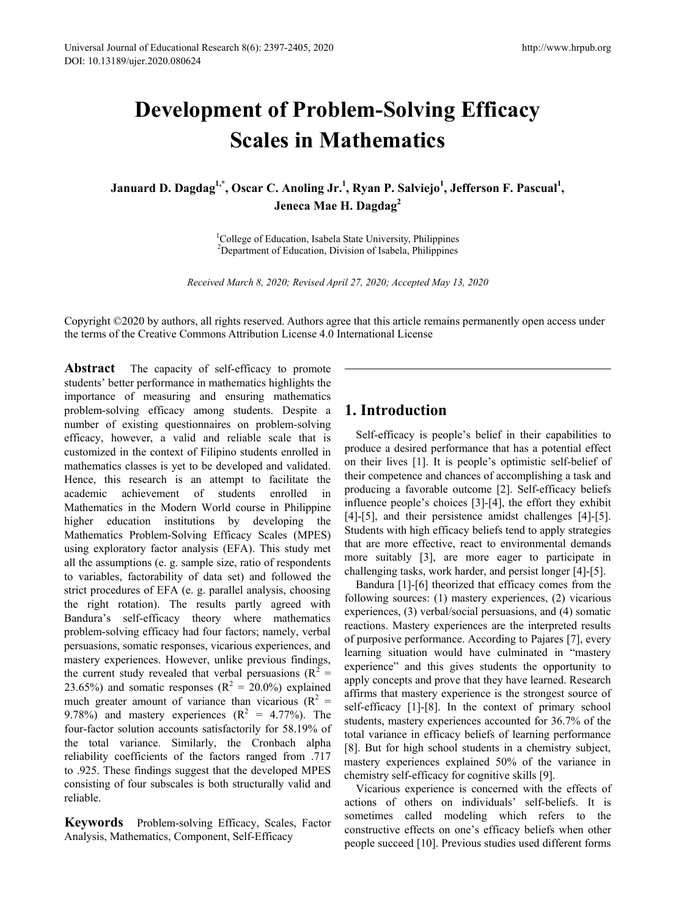# **Development of Problem-Solving Efficacy Scales in Mathematics**

**Januard D. Dagdag1,\* , Oscar C. Anoling Jr.<sup>1</sup> , Ryan P. Salviejo1 , Jefferson F. Pascual<sup>1</sup> , Jeneca Mae H. Dagdag<sup>2</sup>**

> <sup>1</sup>College of Education, Isabela State University, Philippines<sup>2</sup><br><sup>2</sup>Department of Education, Division of Isabela, Philippines Department of Education, Division of Isabela, Philippines

*Received March 8, 2020; Revised April 27, 2020; Accepted May 13, 2020*

Copyright ©2020 by authors, all rights reserved. Authors agree that this article remains permanently open access under the terms of the Creative Commons Attribution License 4.0 International License

Abstract The capacity of self-efficacy to promote students' better performance in mathematics highlights the importance of measuring and ensuring mathematics problem-solving efficacy among students. Despite a number of existing questionnaires on problem-solving efficacy, however, a valid and reliable scale that is customized in the context of Filipino students enrolled in mathematics classes is yet to be developed and validated. Hence, this research is an attempt to facilitate the academic achievement of students enrolled in achievement of students enrolled in Mathematics in the Modern World course in Philippine higher education institutions by developing the Mathematics Problem-Solving Efficacy Scales (MPES) using exploratory factor analysis (EFA). This study met all the assumptions (e. g. sample size, ratio of respondents to variables, factorability of data set) and followed the strict procedures of EFA (e. g. parallel analysis, choosing the right rotation). The results partly agreed with Bandura's self-efficacy theory where mathematics problem-solving efficacy had four factors; namely, verbal persuasions, somatic responses, vicarious experiences, and mastery experiences. However, unlike previous findings, the current study revealed that verbal persuasions ( $R^2$  = 23.65%) and somatic responses ( $R^2 = 20.0\%$ ) explained much greater amount of variance than vicarious ( $R^2$  = 9.78%) and mastery experiences  $(R^2 = 4.77\%)$ . The four-factor solution accounts satisfactorily for 58.19% of the total variance. Similarly, the Cronbach alpha reliability coefficients of the factors ranged from .717 to .925. These findings suggest that the developed MPES consisting of four subscales is both structurally valid and reliable.

**Keywords** Problem-solving Efficacy, Scales, Factor Analysis, Mathematics, Component, Self-Efficacy

# **1. Introduction**

Self-efficacy is people's belief in their capabilities to produce a desired performance that has a potential effect on their lives [1]. It is people's optimistic self-belief of their competence and chances of accomplishing a task and producing a favorable outcome [2]. Self-efficacy beliefs influence people's choices [3]-[4], the effort they exhibit [4]-[5], and their persistence amidst challenges [4]-[5]. Students with high efficacy beliefs tend to apply strategies that are more effective, react to environmental demands more suitably [3], are more eager to participate in challenging tasks, work harder, and persist longer [4]-[5].

Bandura [1]-[6] theorized that efficacy comes from the following sources: (1) mastery experiences, (2) vicarious experiences, (3) verbal/social persuasions, and (4) somatic reactions. Mastery experiences are the interpreted results of purposive performance. According to Pajares [7], every learning situation would have culminated in "mastery experience" and this gives students the opportunity to apply concepts and prove that they have learned. Research affirms that mastery experience is the strongest source of self-efficacy [1]-[8]. In the context of primary school students, mastery experiences accounted for 36.7% of the total variance in efficacy beliefs of learning performance [8]. But for high school students in a chemistry subject, mastery experiences explained 50% of the variance in chemistry self-efficacy for cognitive skills [9].

Vicarious experience is concerned with the effects of actions of others on individuals' self-beliefs. It is sometimes called modeling which refers to the constructive effects on one's efficacy beliefs when other people succeed [10]. Previous studies used different forms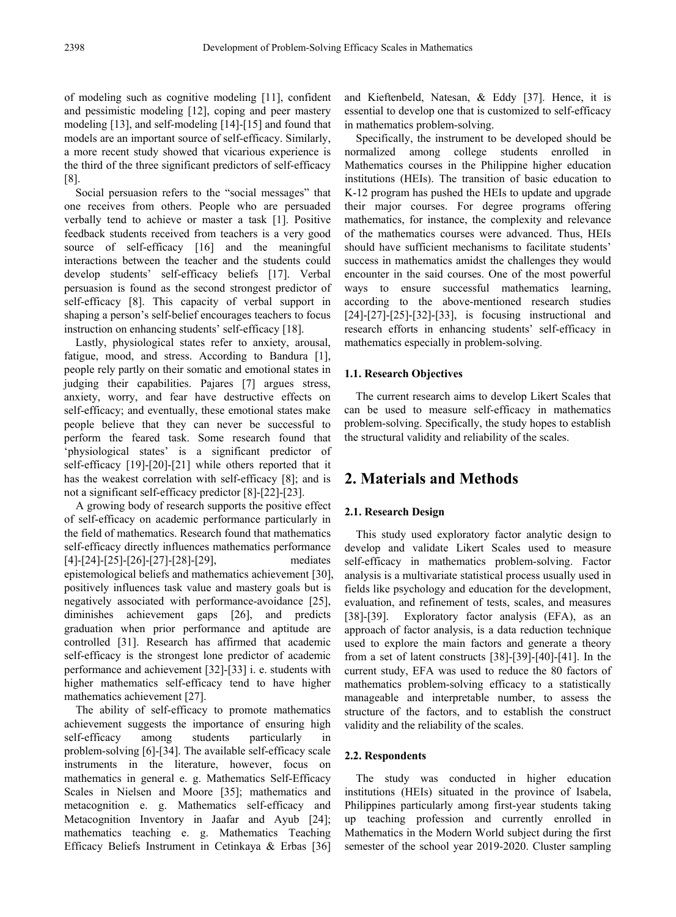of modeling such as cognitive modeling [11], confident and pessimistic modeling [12], coping and peer mastery modeling [13], and self-modeling [14]-[15] and found that models are an important source of self-efficacy. Similarly, a more recent study showed that vicarious experience is the third of the three significant predictors of self-efficacy [8].

Social persuasion refers to the "social messages" that one receives from others. People who are persuaded verbally tend to achieve or master a task [1]. Positive feedback students received from teachers is a very good source of self-efficacy [16] and the meaningful interactions between the teacher and the students could develop students' self-efficacy beliefs [17]. Verbal persuasion is found as the second strongest predictor of self-efficacy [8]. This capacity of verbal support in shaping a person's self-belief encourages teachers to focus instruction on enhancing students' self-efficacy [18].

Lastly, physiological states refer to anxiety, arousal, fatigue, mood, and stress. According to Bandura [1], people rely partly on their somatic and emotional states in judging their capabilities. Pajares [7] argues stress, anxiety, worry, and fear have destructive effects on self-efficacy; and eventually, these emotional states make people believe that they can never be successful to perform the feared task. Some research found that 'physiological states' is a significant predictor of self-efficacy [19]-[20]-[21] while others reported that it has the weakest correlation with self-efficacy [8]; and is not a significant self-efficacy predictor [8]-[22]-[23].

A growing body of research supports the positive effect of self-efficacy on academic performance particularly in the field of mathematics. Research found that mathematics self-efficacy directly influences mathematics performance [4]-[24]-[25]-[26]-[27]-[28]-[29], mediates epistemological beliefs and mathematics achievement [30], positively influences task value and mastery goals but is negatively associated with performance-avoidance [25], diminishes achievement gaps [26], and predicts graduation when prior performance and aptitude are controlled [31]. Research has affirmed that academic self-efficacy is the strongest lone predictor of academic performance and achievement [32]-[33] i. e. students with higher mathematics self-efficacy tend to have higher mathematics achievement [27].

The ability of self-efficacy to promote mathematics achievement suggests the importance of ensuring high self-efficacy among students particularly in problem-solving [6]-[34]. The available self-efficacy scale instruments in the literature, however, focus on mathematics in general e. g. Mathematics Self-Efficacy Scales in Nielsen and Moore [35]; mathematics and metacognition e. g. Mathematics self-efficacy and Metacognition Inventory in Jaafar and Ayub [24]; mathematics teaching e. g. Mathematics Teaching Efficacy Beliefs Instrument in Cetinkaya & Erbas [36] and Kieftenbeld, Natesan, & Eddy [37]. Hence, it is essential to develop one that is customized to self-efficacy in mathematics problem-solving.

Specifically, the instrument to be developed should be normalized among college students enrolled in Mathematics courses in the Philippine higher education institutions (HEIs). The transition of basic education to K-12 program has pushed the HEIs to update and upgrade their major courses. For degree programs offering mathematics, for instance, the complexity and relevance of the mathematics courses were advanced. Thus, HEIs should have sufficient mechanisms to facilitate students' success in mathematics amidst the challenges they would encounter in the said courses. One of the most powerful ways to ensure successful mathematics learning, according to the above-mentioned research studies [24]-[27]-[25]-[32]-[33], is focusing instructional and research efforts in enhancing students' self-efficacy in mathematics especially in problem-solving.

## **1.1. Research Objectives**

The current research aims to develop Likert Scales that can be used to measure self-efficacy in mathematics problem-solving. Specifically, the study hopes to establish the structural validity and reliability of the scales.

## **2. Materials and Methods**

## **2.1. Research Design**

This study used exploratory factor analytic design to develop and validate Likert Scales used to measure self-efficacy in mathematics problem-solving. Factor analysis is a multivariate statistical process usually used in fields like psychology and education for the development, evaluation, and refinement of tests, scales, and measures [38]-[39]. Exploratory factor analysis (EFA), as an approach of factor analysis, is a data reduction technique used to explore the main factors and generate a theory from a set of latent constructs [38]-[39]-[40]-[41]. In the current study, EFA was used to reduce the 80 factors of mathematics problem-solving efficacy to a statistically manageable and interpretable number, to assess the structure of the factors, and to establish the construct validity and the reliability of the scales.

## **2.2. Respondents**

The study was conducted in higher education institutions (HEIs) situated in the province of Isabela, Philippines particularly among first-year students taking up teaching profession and currently enrolled in Mathematics in the Modern World subject during the first semester of the school year 2019-2020. Cluster sampling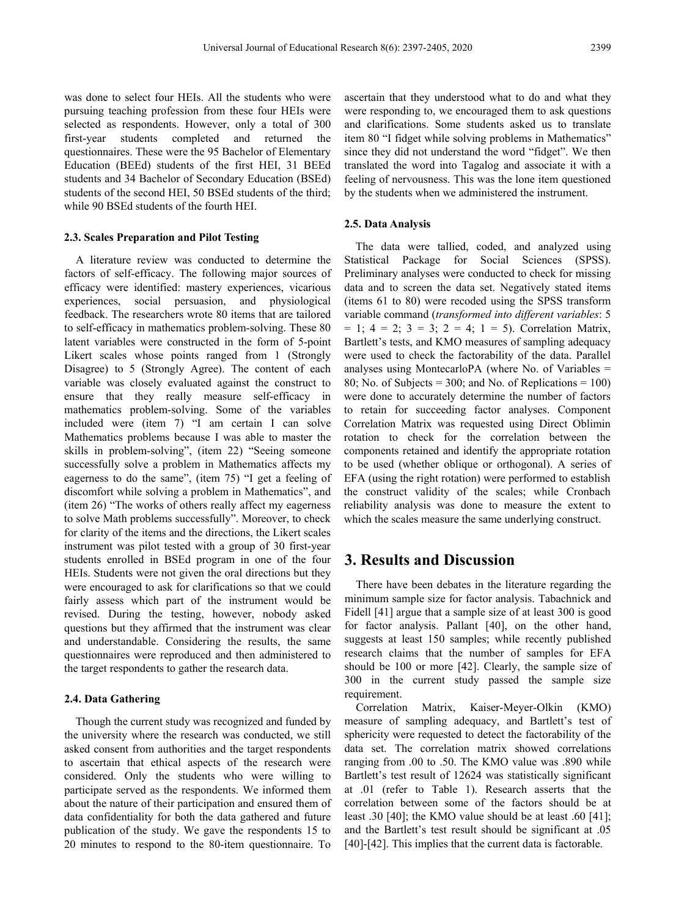was done to select four HEIs. All the students who were pursuing teaching profession from these four HEIs were selected as respondents. However, only a total of 300 first-year students completed and returned the questionnaires. These were the 95 Bachelor of Elementary Education (BEEd) students of the first HEI, 31 BEEd students and 34 Bachelor of Secondary Education (BSEd) students of the second HEI, 50 BSEd students of the third; while 90 BSEd students of the fourth HEI.

#### **2.3. Scales Preparation and Pilot Testing**

A literature review was conducted to determine the factors of self-efficacy. The following major sources of efficacy were identified: mastery experiences, vicarious experiences, social persuasion, and physiological feedback. The researchers wrote 80 items that are tailored to self-efficacy in mathematics problem-solving. These 80 latent variables were constructed in the form of 5-point Likert scales whose points ranged from 1 (Strongly Disagree) to 5 (Strongly Agree). The content of each variable was closely evaluated against the construct to ensure that they really measure self-efficacy in mathematics problem-solving. Some of the variables included were (item 7) "I am certain I can solve Mathematics problems because I was able to master the skills in problem-solving", (item 22) "Seeing someone successfully solve a problem in Mathematics affects my eagerness to do the same", (item 75) "I get a feeling of discomfort while solving a problem in Mathematics", and (item 26) "The works of others really affect my eagerness to solve Math problems successfully". Moreover, to check for clarity of the items and the directions, the Likert scales instrument was pilot tested with a group of 30 first-year students enrolled in BSEd program in one of the four HEIs. Students were not given the oral directions but they were encouraged to ask for clarifications so that we could fairly assess which part of the instrument would be revised. During the testing, however, nobody asked questions but they affirmed that the instrument was clear and understandable. Considering the results, the same questionnaires were reproduced and then administered to the target respondents to gather the research data.

#### **2.4. Data Gathering**

Though the current study was recognized and funded by the university where the research was conducted, we still asked consent from authorities and the target respondents to ascertain that ethical aspects of the research were considered. Only the students who were willing to participate served as the respondents. We informed them about the nature of their participation and ensured them of data confidentiality for both the data gathered and future publication of the study. We gave the respondents 15 to 20 minutes to respond to the 80-item questionnaire. To

ascertain that they understood what to do and what they were responding to, we encouraged them to ask questions and clarifications. Some students asked us to translate item 80 "I fidget while solving problems in Mathematics" since they did not understand the word "fidget". We then translated the word into Tagalog and associate it with a feeling of nervousness. This was the lone item questioned by the students when we administered the instrument.

#### **2.5. Data Analysis**

The data were tallied, coded, and analyzed using Statistical Package for Social Sciences (SPSS). Preliminary analyses were conducted to check for missing data and to screen the data set. Negatively stated items (items 61 to 80) were recoded using the SPSS transform variable command (*transformed into different variables*: 5  $= 1$ ;  $4 = 2$ ;  $3 = 3$ ;  $2 = 4$ ;  $1 = 5$ ). Correlation Matrix, Bartlett's tests, and KMO measures of sampling adequacy were used to check the factorability of the data. Parallel analyses using MontecarloPA (where No. of Variables = 80; No. of Subjects =  $300$ ; and No. of Replications =  $100$ ) were done to accurately determine the number of factors to retain for succeeding factor analyses. Component Correlation Matrix was requested using Direct Oblimin rotation to check for the correlation between the components retained and identify the appropriate rotation to be used (whether oblique or orthogonal). A series of EFA (using the right rotation) were performed to establish the construct validity of the scales; while Cronbach reliability analysis was done to measure the extent to which the scales measure the same underlying construct.

## **3. Results and Discussion**

There have been debates in the literature regarding the minimum sample size for factor analysis. Tabachnick and Fidell [41] argue that a sample size of at least 300 is good for factor analysis. Pallant [40], on the other hand, suggests at least 150 samples; while recently published research claims that the number of samples for EFA should be 100 or more [42]. Clearly, the sample size of 300 in the current study passed the sample size requirement.

Correlation Matrix, Kaiser-Meyer-Olkin (KMO) measure of sampling adequacy, and Bartlett's test of sphericity were requested to detect the factorability of the data set. The correlation matrix showed correlations ranging from .00 to .50. The KMO value was .890 while Bartlett's test result of 12624 was statistically significant at .01 (refer to Table 1). Research asserts that the correlation between some of the factors should be at least .30 [40]; the KMO value should be at least .60 [41]; and the Bartlett's test result should be significant at .05 [40]-[42]. This implies that the current data is factorable.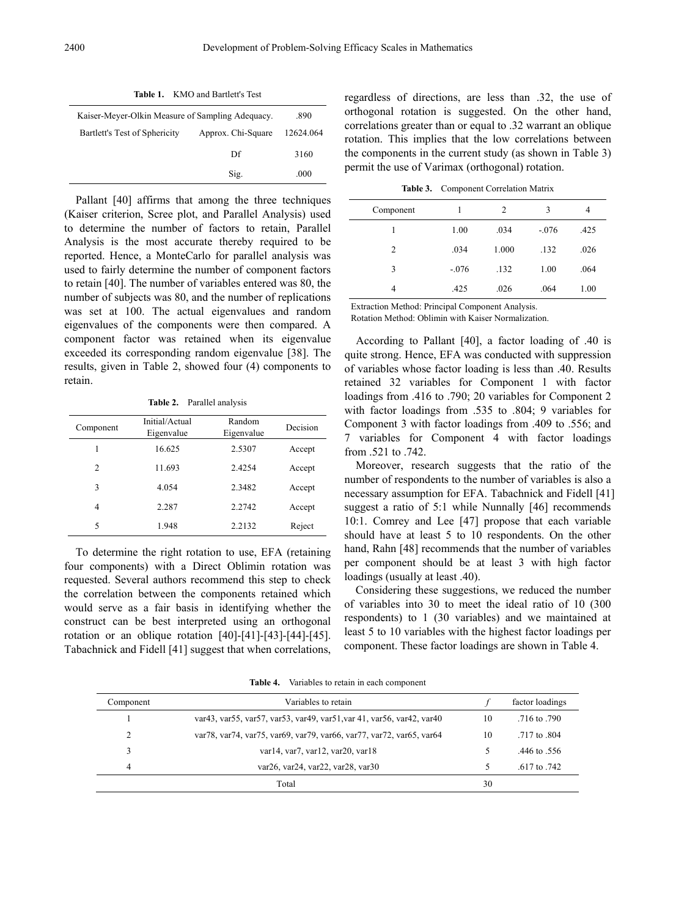| <b>Table 1.</b> KMO and Bartlett's Lest             |      |           |  |  |
|-----------------------------------------------------|------|-----------|--|--|
| Kaiser-Meyer-Olkin Measure of Sampling Adequacy.    | .890 |           |  |  |
| Bartlett's Test of Sphericity<br>Approx. Chi-Square |      | 12624.064 |  |  |
|                                                     | Df   | 3160      |  |  |
|                                                     | Sig. | .000      |  |  |

Pallant [40] affirms that among the three techniques (Kaiser criterion, Scree plot, and Parallel Analysis) used to determine the number of factors to retain, Parallel Analysis is the most accurate thereby required to be reported. Hence, a MonteCarlo for parallel analysis was used to fairly determine the number of component factors to retain [40]. The number of variables entered was 80, the number of subjects was 80, and the number of replications was set at 100. The actual eigenvalues and random eigenvalues of the components were then compared. A component factor was retained when its eigenvalue exceeded its corresponding random eigenvalue [38]. The results, given in Table 2, showed four (4) components to retain.

**Table 2.** Parallel analysis

| Component | Initial/Actual<br>Eigenvalue | Random<br>Eigenvalue | Decision |
|-----------|------------------------------|----------------------|----------|
| 1         | 16.625                       | 2.5307               | Accept   |
| 2         | 11.693                       | 2.4254               | Accept   |
| 3         | 4.054                        | 2.3482               | Accept   |
| 4         | 2.287                        | 2.2742               | Accept   |
| 5         | 1.948                        | 2.2132               | Reject   |

To determine the right rotation to use, EFA (retaining four components) with a Direct Oblimin rotation was requested. Several authors recommend this step to check the correlation between the components retained which would serve as a fair basis in identifying whether the construct can be best interpreted using an orthogonal rotation or an oblique rotation [40]-[41]-[43]-[44]-[45]. Tabachnick and Fidell [41] suggest that when correlations,

regardless of directions, are less than .32, the use of orthogonal rotation is suggested. On the other hand, correlations greater than or equal to .32 warrant an oblique rotation. This implies that the low correlations between the components in the current study (as shown in Table 3) permit the use of Varimax (orthogonal) rotation.

**Table 3.** Component Correlation Matrix

| Component |         | $\overline{c}$ | 3       | 4    |
|-----------|---------|----------------|---------|------|
|           | 1.00    | .034           | $-.076$ | .425 |
| 2         | .034    | 1.000          | .132    | .026 |
| 3         | $-.076$ | .132           | 1.00    | .064 |
| 4         | .425    | .026           | .064    | 1.00 |

Extraction Method: Principal Component Analysis.

Rotation Method: Oblimin with Kaiser Normalization.

According to Pallant [40], a factor loading of .40 is quite strong. Hence, EFA was conducted with suppression of variables whose factor loading is less than .40. Results retained 32 variables for Component 1 with factor loadings from .416 to .790; 20 variables for Component 2 with factor loadings from .535 to .804; 9 variables for Component 3 with factor loadings from .409 to .556; and 7 variables for Component 4 with factor loadings from .521 to .742.

Moreover, research suggests that the ratio of the number of respondents to the number of variables is also a necessary assumption for EFA. Tabachnick and Fidell [41] suggest a ratio of 5:1 while Nunnally [46] recommends 10:1. Comrey and Lee [47] propose that each variable should have at least 5 to 10 respondents. On the other hand, Rahn [48] recommends that the number of variables per component should be at least 3 with high factor loadings (usually at least .40).

Considering these suggestions, we reduced the number of variables into 30 to meet the ideal ratio of 10 (300 respondents) to 1 (30 variables) and we maintained at least 5 to 10 variables with the highest factor loadings per component. These factor loadings are shown in Table 4.

| Component | Variables to retain                                                            |    | factor loadings |
|-----------|--------------------------------------------------------------------------------|----|-----------------|
|           | var43, var55, var57, var53, var49, var51, var 41, var56, var42, var40          | 10 | .716 to .790    |
| 2         | var 78, var 74, var 75, var 69, var 79, var 66, var 77, var 72, var 65, var 64 | 10 | .717 to 804     |
|           | var14, var7, var12, var20, var18                                               |    | .446 to .556    |
| 4         | $var26$ , $var24$ , $var22$ , $var28$ , $var30$                                |    | .617 to .742    |
|           |                                                                                |    |                 |

Total 30

**Table 4.** Variables to retain in each component

**Table 1.** KMO and Bartlett's Test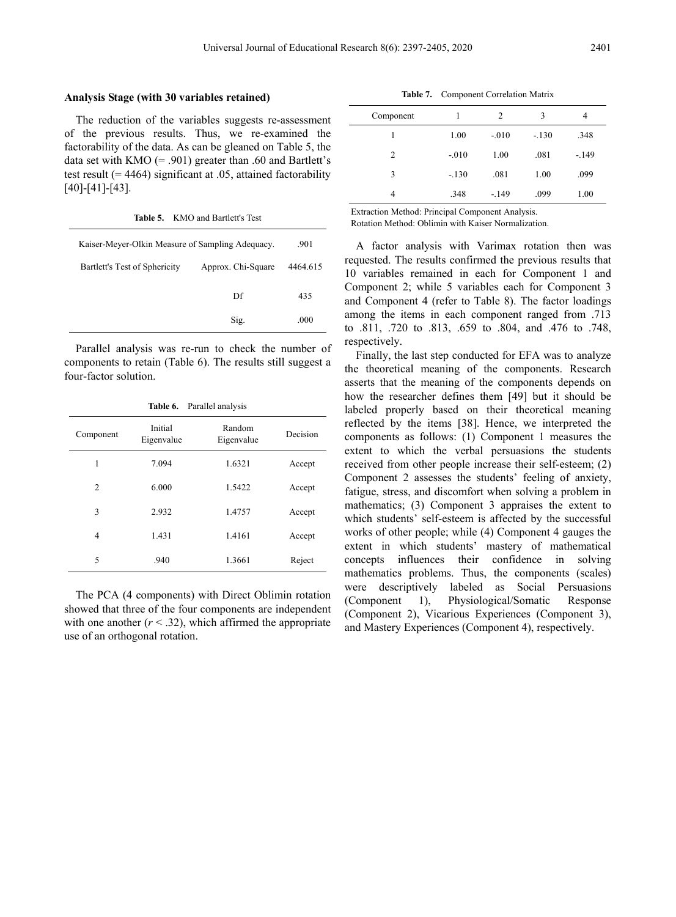#### **Analysis Stage (with 30 variables retained)**

The reduction of the variables suggests re-assessment of the previous results. Thus, we re-examined the factorability of the data. As can be gleaned on Table 5, the data set with KMO  $(= .901)$  greater than .60 and Bartlett's test result (= 4464) significant at .05, attained factorability [40]-[41]-[43].

**Table 5.** KMO and Bartlett's Test

| Kaiser-Meyer-Olkin Measure of Sampling Adequacy. | .901               |          |
|--------------------------------------------------|--------------------|----------|
| Bartlett's Test of Sphericity                    | Approx. Chi-Square | 4464.615 |
|                                                  | Df                 | 435      |
|                                                  | Sig.               | .000     |

Parallel analysis was re-run to check the number of components to retain (Table 6). The results still suggest a four-factor solution.

|                |                       | Table 6. Parallel analysis |          |
|----------------|-----------------------|----------------------------|----------|
| Component      | Initial<br>Eigenvalue | Random<br>Eigenvalue       | Decision |
| 1              | 7.094                 | 1.6321                     | Accept   |
| $\mathfrak{D}$ | 6.000                 | 1.5422                     | Accept   |
| 3              | 2.932                 | 1.4757                     | Accept   |
| 4              | 1.431                 | 1.4161                     | Accept   |
| 5              | .940                  | 1.3661                     | Reject   |

The PCA (4 components) with Direct Oblimin rotation showed that three of the four components are independent with one another  $(r < .32)$ , which affirmed the appropriate use of an orthogonal rotation.

**Table 7.** Component Correlation Matrix

| Component      |         | 2       | 3       | 4      |
|----------------|---------|---------|---------|--------|
|                | 1.00    | $-.010$ | $-.130$ | .348   |
| $\overline{c}$ | $-.010$ | 1.00    | .081    | $-149$ |
| 3              | $-.130$ | .081    | 1.00    | .099   |
| 4              | .348    | $-149$  | .099    | 1.00   |

Extraction Method: Principal Component Analysis. Rotation Method: Oblimin with Kaiser Normalization.

A factor analysis with Varimax rotation then was requested. The results confirmed the previous results that 10 variables remained in each for Component 1 and Component 2; while 5 variables each for Component 3 and Component 4 (refer to Table 8). The factor loadings among the items in each component ranged from .713 to .811, .720 to .813, .659 to .804, and .476 to .748, respectively.

Finally, the last step conducted for EFA was to analyze the theoretical meaning of the components. Research asserts that the meaning of the components depends on how the researcher defines them [49] but it should be labeled properly based on their theoretical meaning reflected by the items [38]. Hence, we interpreted the components as follows: (1) Component 1 measures the extent to which the verbal persuasions the students received from other people increase their self-esteem; (2) Component 2 assesses the students' feeling of anxiety, fatigue, stress, and discomfort when solving a problem in mathematics; (3) Component 3 appraises the extent to which students' self-esteem is affected by the successful works of other people; while (4) Component 4 gauges the extent in which students' mastery of mathematical concepts influences their confidence in solving mathematics problems. Thus, the components (scales) were descriptively labeled as Social Persuasions (Component 1), Physiological/Somatic Response (Component 2), Vicarious Experiences (Component 3), and Mastery Experiences (Component 4), respectively.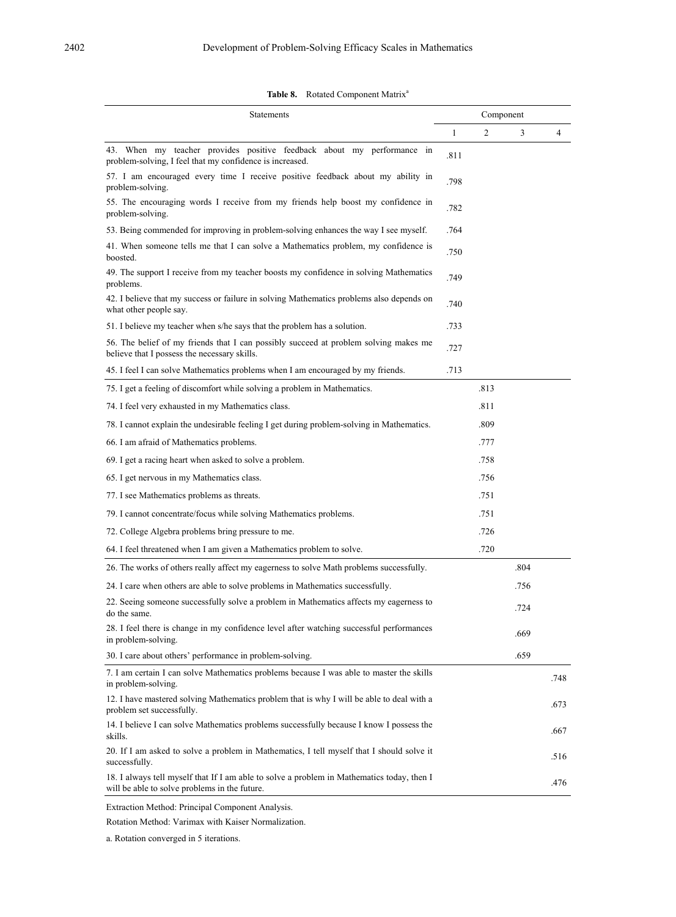Table 8. Rotated Component Matrix<sup>a</sup>

| Statements                                                                                                                                  |      | Component      |      |      |
|---------------------------------------------------------------------------------------------------------------------------------------------|------|----------------|------|------|
|                                                                                                                                             | 1    | $\overline{2}$ | 3    | 4    |
| 43. When my teacher provides positive feedback about my performance in<br>problem-solving, I feel that my confidence is increased.          | .811 |                |      |      |
| 57. I am encouraged every time I receive positive feedback about my ability in<br>problem-solving.                                          | .798 |                |      |      |
| 55. The encouraging words I receive from my friends help boost my confidence in<br>problem-solving.                                         | .782 |                |      |      |
| 53. Being commended for improving in problem-solving enhances the way I see myself.                                                         | .764 |                |      |      |
| 41. When someone tells me that I can solve a Mathematics problem, my confidence is<br>boosted.                                              | .750 |                |      |      |
| 49. The support I receive from my teacher boosts my confidence in solving Mathematics<br>problems.                                          | .749 |                |      |      |
| 42. I believe that my success or failure in solving Mathematics problems also depends on<br>what other people say.                          | .740 |                |      |      |
| 51. I believe my teacher when s/he says that the problem has a solution.                                                                    | .733 |                |      |      |
| 56. The belief of my friends that I can possibly succeed at problem solving makes me<br>believe that I possess the necessary skills.        | .727 |                |      |      |
| 45. I feel I can solve Mathematics problems when I am encouraged by my friends.                                                             | .713 |                |      |      |
| 75. I get a feeling of discomfort while solving a problem in Mathematics.                                                                   |      | .813           |      |      |
| 74. I feel very exhausted in my Mathematics class.                                                                                          |      | .811           |      |      |
| 78. I cannot explain the undesirable feeling I get during problem-solving in Mathematics.                                                   |      | .809           |      |      |
| 66. I am afraid of Mathematics problems.                                                                                                    |      | .777           |      |      |
| 69. I get a racing heart when asked to solve a problem.                                                                                     |      | .758           |      |      |
| 65. I get nervous in my Mathematics class.                                                                                                  |      | .756           |      |      |
| 77. I see Mathematics problems as threats.                                                                                                  |      | .751           |      |      |
| 79. I cannot concentrate/focus while solving Mathematics problems.                                                                          |      | .751           |      |      |
| 72. College Algebra problems bring pressure to me.                                                                                          |      | .726           |      |      |
| 64. I feel threatened when I am given a Mathematics problem to solve.                                                                       |      | .720           |      |      |
| 26. The works of others really affect my eagerness to solve Math problems successfully.                                                     |      |                | .804 |      |
| 24. I care when others are able to solve problems in Mathematics successfully.                                                              |      |                | .756 |      |
| 22. Seeing someone successfully solve a problem in Mathematics affects my eagerness to<br>do the same.                                      |      |                | .724 |      |
| 28. I feel there is change in my confidence level after watching successful performances<br>in problem-solving.                             |      |                | .669 |      |
| 30. I care about others' performance in problem-solving.                                                                                    |      |                | .659 |      |
| 7. I am certain I can solve Mathematics problems because I was able to master the skills<br>in problem-solving.                             |      |                |      | .748 |
| 12. I have mastered solving Mathematics problem that is why I will be able to deal with a<br>problem set successfully.                      |      |                |      | .673 |
| 14. I believe I can solve Mathematics problems successfully because I know I possess the<br>skills.                                         |      |                |      | .667 |
| 20. If I am asked to solve a problem in Mathematics, I tell myself that I should solve it<br>successfully.                                  |      |                |      | .516 |
| 18. I always tell myself that If I am able to solve a problem in Mathematics today, then I<br>will be able to solve problems in the future. |      |                |      | .476 |

Extraction Method: Principal Component Analysis.

Rotation Method: Varimax with Kaiser Normalization.

a. Rotation converged in 5 iterations.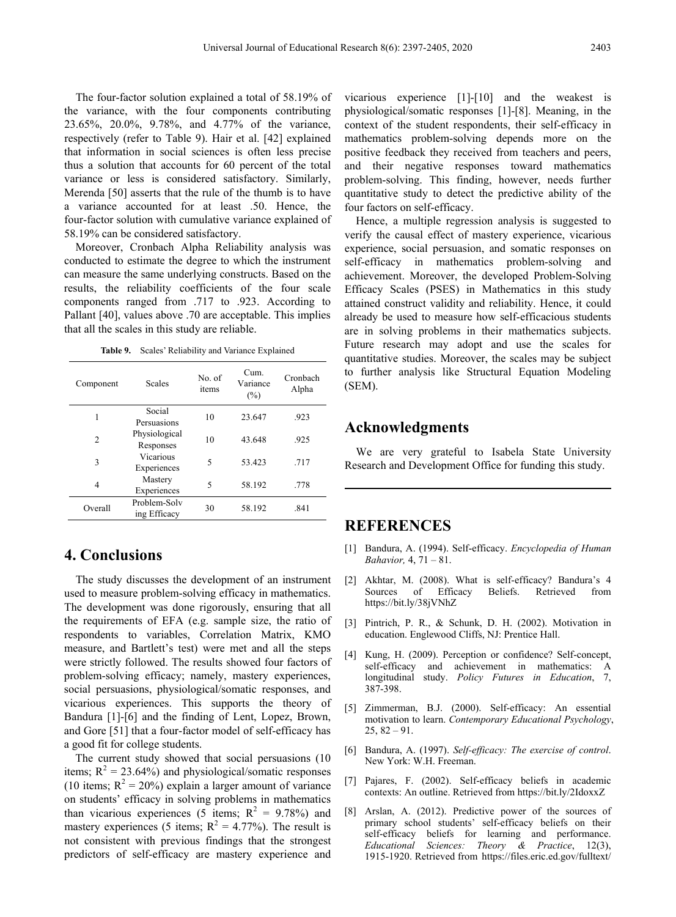The four-factor solution explained a total of 58.19% of the variance, with the four components contributing 23.65%, 20.0%, 9.78%, and 4.77% of the variance, respectively (refer to Table 9). Hair et al. [42] explained that information in social sciences is often less precise thus a solution that accounts for 60 percent of the total variance or less is considered satisfactory. Similarly, Merenda [50] asserts that the rule of the thumb is to have a variance accounted for at least .50. Hence, the four-factor solution with cumulative variance explained of 58.19% can be considered satisfactory.

Moreover, Cronbach Alpha Reliability analysis was conducted to estimate the degree to which the instrument can measure the same underlying constructs. Based on the results, the reliability coefficients of the four scale components ranged from .717 to .923. According to Pallant [40], values above .70 are acceptable. This implies that all the scales in this study are reliable.

**Table 9.** Scales' Reliability and Variance Explained

| Component      | <b>Scales</b>                | No. of<br>items | Cum.<br>Variance<br>(%) | Cronbach<br>Alpha |
|----------------|------------------------------|-----------------|-------------------------|-------------------|
| 1              | Social<br>Persuasions        | 10              | 23.647                  | .923              |
| $\overline{c}$ | Physiological<br>Responses   | 10              | 43.648                  | .925              |
| 3              | Vicarious<br>Experiences     | 5               | 53.423                  | .717              |
| 4              | Mastery<br>Experiences       | 5               | 58.192                  | .778              |
| Overall        | Problem-Solv<br>ing Efficacy | 30              | 58.192                  | .841              |

## **4. Conclusions**

The study discusses the development of an instrument used to measure problem-solving efficacy in mathematics. The development was done rigorously, ensuring that all the requirements of EFA (e.g. sample size, the ratio of respondents to variables, Correlation Matrix, KMO measure, and Bartlett's test) were met and all the steps were strictly followed. The results showed four factors of problem-solving efficacy; namely, mastery experiences, social persuasions, physiological/somatic responses, and vicarious experiences. This supports the theory of Bandura [1]-[6] and the finding of Lent, Lopez, Brown, and Gore [51] that a four-factor model of self-efficacy has a good fit for college students.

The current study showed that social persuasions (10 items;  $R^2 = 23.64\%$ ) and physiological/somatic responses (10 items;  $R^2 = 20\%$ ) explain a larger amount of variance on students' efficacy in solving problems in mathematics than vicarious experiences (5 items;  $R^2 = 9.78\%$ ) and mastery experiences (5 items;  $R^2 = 4.77\%$ ). The result is not consistent with previous findings that the strongest predictors of self-efficacy are mastery experience and

vicarious experience [1]-[10] and the weakest is physiological/somatic responses [1]-[8]. Meaning, in the context of the student respondents, their self-efficacy in mathematics problem-solving depends more on the positive feedback they received from teachers and peers, and their negative responses toward mathematics problem-solving. This finding, however, needs further quantitative study to detect the predictive ability of the four factors on self-efficacy.

Hence, a multiple regression analysis is suggested to verify the causal effect of mastery experience, vicarious experience, social persuasion, and somatic responses on self-efficacy in mathematics problem-solving and achievement. Moreover, the developed Problem-Solving Efficacy Scales (PSES) in Mathematics in this study attained construct validity and reliability. Hence, it could already be used to measure how self-efficacious students are in solving problems in their mathematics subjects. Future research may adopt and use the scales for quantitative studies. Moreover, the scales may be subject to further analysis like Structural Equation Modeling (SEM).

## **Acknowledgments**

We are very grateful to Isabela State University Research and Development Office for funding this study.

# **REFERENCES**

- [1] Bandura, A. (1994). Self-efficacy. *Encyclopedia of Human Bahavior,* 4, 71 – 81.
- [2] Akhtar, M. (2008). What is self-efficacy? Bandura's 4 Sources of Efficacy Beliefs. Retrieved from https://bit.ly/38jVNhZ
- [3] Pintrich, P. R., & Schunk, D. H. (2002). Motivation in education. Englewood Cliffs, NJ: Prentice Hall.
- [4] Kung, H. (2009). Perception or confidence? Self-concept, self-efficacy and achievement in mathematics: A longitudinal study. *Policy Futures in Education*, 7, 387-398.
- [5] Zimmerman, B.J. (2000). Self-efficacy: An essential motivation to learn. *Contemporary Educational Psychology*,  $25, 82 - 91.$
- [6] Bandura, A. (1997). *Self-efficacy: The exercise of control*. New York: W.H. Freeman.
- [7] Pajares, F. (2002). Self-efficacy beliefs in academic contexts: An outline. Retrieved from https://bit.ly/2IdoxxZ
- [8] Arslan, A. (2012). Predictive power of the sources of primary school students' self-efficacy beliefs on their self-efficacy beliefs for learning and performance. *Educational Sciences: Theory & Practice*, 12(3), 1915-1920. Retrieved from https://files.eric.ed.gov/fulltext/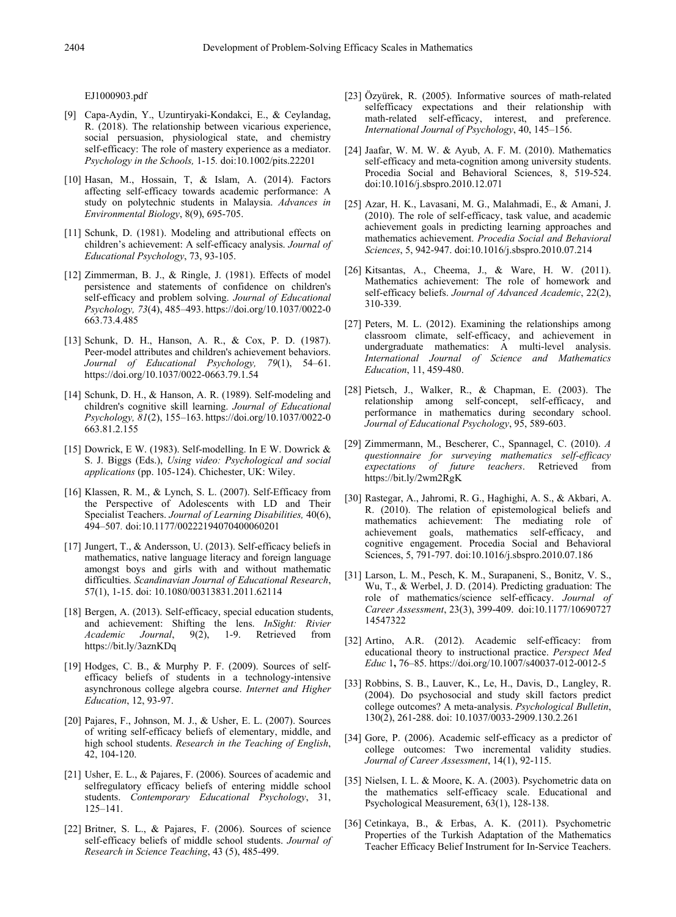EJ1000903.pdf

- [9] Capa-Aydin, Y., Uzuntiryaki-Kondakci, E., & Ceylandag, R. (2018). The relationship between vicarious experience, social persuasion, physiological state, and chemistry self-efficacy: The role of mastery experience as a mediator. *Psychology in the Schools,* 1-15*.* doi:10.1002/pits.22201
- [10] Hasan, M., Hossain, T, & Islam, A. (2014). Factors affecting self-efficacy towards academic performance: A study on polytechnic students in Malaysia. *Advances in Environmental Biology*, 8(9), 695-705.
- [11] Schunk, D. (1981). Modeling and attributional effects on children's achievement: A self-efficacy analysis. *Journal of Educational Psychology*, 73, 93-105.
- [12] Zimmerman, B. J., & Ringle, J. (1981). Effects of model persistence and statements of confidence on children's self-efficacy and problem solving. *Journal of Educational Psychology, 73*(4), 485–493. https://doi.org/10.1037/0022-0 663.73.4.485
- [13] Schunk, D. H., Hanson, A. R., & Cox, P. D. (1987). Peer-model attributes and children's achievement behaviors. *Journal of Educational Psychology, 79*(1), 54–61. https://doi.org/10.1037/0022-0663.79.1.54
- [14] Schunk, D. H., & Hanson, A. R. (1989). Self-modeling and children's cognitive skill learning. *Journal of Educational Psychology, 81*(2), 155–163. https://doi.org/10.1037/0022-0 663.81.2.155
- [15] Dowrick, E W. (1983). Self-modelling. In E W. Dowrick  $\&$ S. J. Biggs (Eds.), *Using video: Psychological and social applications* (pp. 105-124). Chichester, UK: Wiley.
- [16] Klassen, R. M., & Lynch, S. L. (2007). Self-Efficacy from the Perspective of Adolescents with LD and Their Specialist Teachers. *Journal of Learning Disabilities,* 40(6), 494–507*.* doi:10.1177/00222194070400060201
- [17] Jungert, T., & Andersson, U. (2013). Self-efficacy beliefs in mathematics, native language literacy and foreign language amongst boys and girls with and without mathematic difficulties. *Scandinavian Journal of Educational Research*, 57(1), 1-15. doi: 10.1080/00313831.2011.62114
- [18] Bergen, A. (2013). Self-efficacy, special education students, and achievement: Shifting the lens. *InSight: Rivier Academic Journal*, 9(2), 1-9. Retrieved from https://bit.ly/3aznKDq
- [19] Hodges, C. B., & Murphy P. F. (2009). Sources of selfefficacy beliefs of students in a technology-intensive asynchronous college algebra course. *Internet and Higher Education*, 12, 93-97.
- [20] Pajares, F., Johnson, M. J., & Usher, E. L. (2007). Sources of writing self-efficacy beliefs of elementary, middle, and high school students. *Research in the Teaching of English*, 42, 104-120.
- [21] Usher, E. L., & Pajares, F. (2006). Sources of academic and selfregulatory efficacy beliefs of entering middle school students. *Contemporary Educational Psychology*, 31, 125–141.
- [22] Britner, S. L., & Pajares, F. (2006). Sources of science self-efficacy beliefs of middle school students. *Journal of Research in Science Teaching*, 43 (5), 485-499.
- [23] Özyürek, R. (2005). Informative sources of math-related selfefficacy expectations and their relationship with math-related self-efficacy, interest, and preference. *International Journal of Psychology*, 40, 145–156.
- [24] Jaafar, W. M. W. & Ayub, A. F. M. (2010). Mathematics self-efficacy and meta-cognition among university students. Procedia Social and Behavioral Sciences, 8, 519-524. doi:10.1016/j.sbspro.2010.12.071
- [25] Azar, H. K., Lavasani, M. G., Malahmadi, E., & Amani, J. (2010). The role of self-efficacy, task value, and academic achievement goals in predicting learning approaches and mathematics achievement. *Procedia Social and Behavioral Sciences*, 5, 942-947. doi:10.1016/j.sbspro.2010.07.214
- [26] Kitsantas, A., Cheema, J., & Ware, H. W. (2011). Mathematics achievement: The role of homework and self-efficacy beliefs. *Journal of Advanced Academic*, 22(2), 310-339.
- [27] Peters, M. L. (2012). Examining the relationships among classroom climate, self-efficacy, and achievement in undergraduate mathematics: A multi-level analysis. *International Journal of Science and Mathematics Education*, 11, 459-480.
- [28] Pietsch, J., Walker, R., & Chapman, E. (2003). The relationship among self-concept, self-efficacy, and performance in mathematics during secondary school. *Journal of Educational Psychology*, 95, 589-603.
- [29] Zimmermann, M., Bescherer, C., Spannagel, C. (2010). *A questionnaire for surveying mathematics self-efficacy expectations of future teachers*. Retrieved from https://bit.ly/2wm2RgK
- [30] Rastegar, A., Jahromi, R. G., Haghighi, A. S., & Akbari, A. R. (2010). The relation of epistemological beliefs and mathematics achievement: The mediating role of achievement goals, mathematics self-efficacy, and cognitive engagement. Procedia Social and Behavioral Sciences, 5, 791-797. doi:10.1016/j.sbspro.2010.07.186
- [31] Larson, L. M., Pesch, K. M., Surapaneni, S., Bonitz, V. S., Wu, T., & Werbel, J. D. (2014). Predicting graduation: The role of mathematics/science self-efficacy. *Journal of Career Assessment*, 23(3), 399-409. doi:10.1177/10690727 14547322
- [32] Artino, A.R. (2012). Academic self-efficacy: from educational theory to instructional practice. *Perspect Med Educ* 1**,** 76–85. https://doi.org/10.1007/s40037-012-0012-5
- [33] Robbins, S. B., Lauver, K., Le, H., Davis, D., Langley, R. (2004). Do psychosocial and study skill factors predict college outcomes? A meta-analysis. *Psychological Bulletin*, 130(2), 261-288. doi: 10.1037/0033-2909.130.2.261
- [34] Gore, P. (2006). Academic self-efficacy as a predictor of college outcomes: Two incremental validity studies. *Journal of Career Assessment*, 14(1), 92-115.
- [35] Nielsen, I. L. & Moore, K. A. (2003). Psychometric data on the mathematics self-efficacy scale. Educational and Psychological Measurement, 63(1), 128-138.
- [36] Cetinkaya, B., & Erbas, A. K. (2011). Psychometric Properties of the Turkish Adaptation of the Mathematics Teacher Efficacy Belief Instrument for In-Service Teachers.